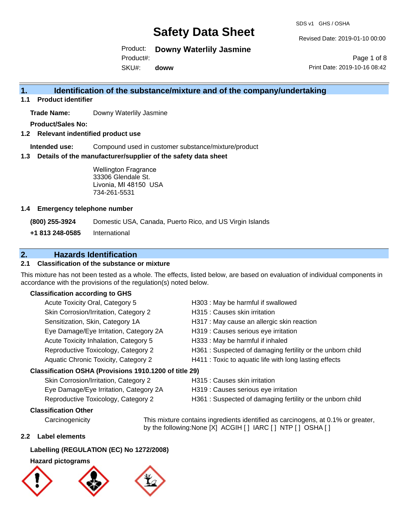SDS v1 GHS / OSHA

Revised Date: 2019-01-10 00:00

Product: **Downy Waterlily Jasmine**

Product#:

SKU#: **doww**

Page 1 of 8 Print Date: 2019-10-16 08:42

### **1. Identification of the substance/mixture and of the company/undertaking**

**1.1 Product identifier**

**Trade Name:** Downy Waterlily Jasmine

**Product/Sales No:**

**1.2 Relevant indentified product use**

**Intended use:** Compound used in customer substance/mixture/product

**1.3 Details of the manufacturer/supplier of the safety data sheet**

Wellington Fragrance 33306 Glendale St. Livonia, MI 48150 USA 734-261-5531

#### **1.4 Emergency telephone number**

**(800) 255-3924** Domestic USA, Canada, Puerto Rico, and US Virgin Islands

**+1 813 248-0585** International

### **2. Hazards Identification**

#### **2.1 Classification of the substance or mixture**

This mixture has not been tested as a whole. The effects, listed below, are based on evaluation of individual components in accordance with the provisions of the regulation(s) noted below.

#### **Classification according to GHS**

| Acute Toxicity Oral, Category 5                      | H303 : May be harmful if swallowed                        |
|------------------------------------------------------|-----------------------------------------------------------|
| Skin Corrosion/Irritation, Category 2                | H315 : Causes skin irritation                             |
| Sensitization, Skin, Category 1A                     | H317 : May cause an allergic skin reaction                |
| Eye Damage/Eye Irritation, Category 2A               | H319 : Causes serious eye irritation                      |
| Acute Toxicity Inhalation, Category 5                | H333: May be harmful if inhaled                           |
| Reproductive Toxicology, Category 2                  | H361: Suspected of damaging fertility or the unborn child |
| Aquatic Chronic Toxicity, Category 2                 | H411 : Toxic to aquatic life with long lasting effects    |
| essification OSHA (Provisions 1910.1200 of title 29) |                                                           |

#### **Classification OSHA (Provisions 1910.1200 of title 29)**

| Skin Corrosion/Irritation, Category 2  |
|----------------------------------------|
| Eye Damage/Eye Irritation, Category 2A |
| Reproductive Toxicology, Category 2    |

H315 : Causes skin irritation

- H319 : Causes serious eye irritation
- H361 : Suspected of damaging fertility or the unborn child

#### **Classification Other**

Carcinogenicity This mixture contains ingredients identified as carcinogens, at 0.1% or greater, by the following:None [X] ACGIH [ ] IARC [ ] NTP [ ] OSHA [ ]

#### **2.2 Label elements**

## **Labelling (REGULATION (EC) No 1272/2008)**

### **Hazard pictograms**

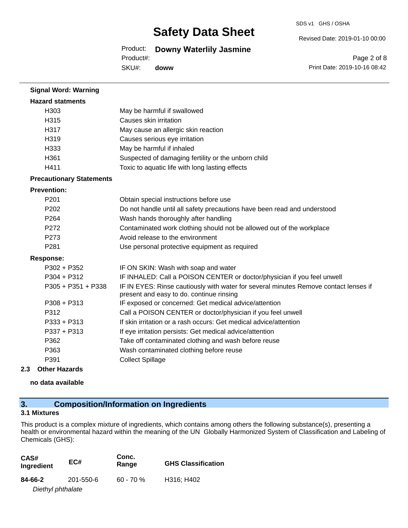SDS v1 GHS / OSHA

Revised Date: 2019-01-10 00:00

Product: **Downy Waterlily Jasmine**

Product#:

SKU#: **doww**

Page 2 of 8 Print Date: 2019-10-16 08:42

| <b>Hazard statments</b><br>H303<br>May be harmful if swallowed<br>H315<br>Causes skin irritation<br>H317<br>May cause an allergic skin reaction<br>H319<br>Causes serious eye irritation<br>H333<br>May be harmful if inhaled<br>H361<br>Suspected of damaging fertility or the unborn child<br>H411<br>Toxic to aquatic life with long lasting effects<br><b>Precautionary Statements</b><br><b>Prevention:</b><br>P201<br>Obtain special instructions before use<br>P <sub>202</sub><br>Do not handle until all safety precautions have been read and understood<br>P264<br>Wash hands thoroughly after handling<br>P <sub>272</sub><br>Contaminated work clothing should not be allowed out of the workplace<br>Avoid release to the environment<br>P273<br>P <sub>281</sub><br>Use personal protective equipment as required<br><b>Response:</b><br>$P302 + P352$<br>IF ON SKIN: Wash with soap and water<br>$P304 + P312$<br>IF INHALED: Call a POISON CENTER or doctor/physician if you feel unwell<br>IF IN EYES: Rinse cautiously with water for several minutes Remove contact lenses if<br>$P305 + P351 + P338$<br>present and easy to do. continue rinsing<br>$P308 + P313$<br>IF exposed or concerned: Get medical advice/attention<br>P312<br>Call a POISON CENTER or doctor/physician if you feel unwell<br>If skin irritation or a rash occurs: Get medical advice/attention<br>$P333 + P313$<br>P337 + P313<br>If eye irritation persists: Get medical advice/attention<br>P362<br>Take off contaminated clothing and wash before reuse<br>P363<br>Wash contaminated clothing before reuse<br><b>Collect Spillage</b><br>P391 | <b>Signal Word: Warning</b> |  |
|-----------------------------------------------------------------------------------------------------------------------------------------------------------------------------------------------------------------------------------------------------------------------------------------------------------------------------------------------------------------------------------------------------------------------------------------------------------------------------------------------------------------------------------------------------------------------------------------------------------------------------------------------------------------------------------------------------------------------------------------------------------------------------------------------------------------------------------------------------------------------------------------------------------------------------------------------------------------------------------------------------------------------------------------------------------------------------------------------------------------------------------------------------------------------------------------------------------------------------------------------------------------------------------------------------------------------------------------------------------------------------------------------------------------------------------------------------------------------------------------------------------------------------------------------------------------------------------------------------------------------------------------------|-----------------------------|--|
|                                                                                                                                                                                                                                                                                                                                                                                                                                                                                                                                                                                                                                                                                                                                                                                                                                                                                                                                                                                                                                                                                                                                                                                                                                                                                                                                                                                                                                                                                                                                                                                                                                               |                             |  |
|                                                                                                                                                                                                                                                                                                                                                                                                                                                                                                                                                                                                                                                                                                                                                                                                                                                                                                                                                                                                                                                                                                                                                                                                                                                                                                                                                                                                                                                                                                                                                                                                                                               |                             |  |
|                                                                                                                                                                                                                                                                                                                                                                                                                                                                                                                                                                                                                                                                                                                                                                                                                                                                                                                                                                                                                                                                                                                                                                                                                                                                                                                                                                                                                                                                                                                                                                                                                                               |                             |  |
|                                                                                                                                                                                                                                                                                                                                                                                                                                                                                                                                                                                                                                                                                                                                                                                                                                                                                                                                                                                                                                                                                                                                                                                                                                                                                                                                                                                                                                                                                                                                                                                                                                               |                             |  |
|                                                                                                                                                                                                                                                                                                                                                                                                                                                                                                                                                                                                                                                                                                                                                                                                                                                                                                                                                                                                                                                                                                                                                                                                                                                                                                                                                                                                                                                                                                                                                                                                                                               |                             |  |
|                                                                                                                                                                                                                                                                                                                                                                                                                                                                                                                                                                                                                                                                                                                                                                                                                                                                                                                                                                                                                                                                                                                                                                                                                                                                                                                                                                                                                                                                                                                                                                                                                                               |                             |  |
|                                                                                                                                                                                                                                                                                                                                                                                                                                                                                                                                                                                                                                                                                                                                                                                                                                                                                                                                                                                                                                                                                                                                                                                                                                                                                                                                                                                                                                                                                                                                                                                                                                               |                             |  |
|                                                                                                                                                                                                                                                                                                                                                                                                                                                                                                                                                                                                                                                                                                                                                                                                                                                                                                                                                                                                                                                                                                                                                                                                                                                                                                                                                                                                                                                                                                                                                                                                                                               |                             |  |
|                                                                                                                                                                                                                                                                                                                                                                                                                                                                                                                                                                                                                                                                                                                                                                                                                                                                                                                                                                                                                                                                                                                                                                                                                                                                                                                                                                                                                                                                                                                                                                                                                                               |                             |  |
|                                                                                                                                                                                                                                                                                                                                                                                                                                                                                                                                                                                                                                                                                                                                                                                                                                                                                                                                                                                                                                                                                                                                                                                                                                                                                                                                                                                                                                                                                                                                                                                                                                               |                             |  |
|                                                                                                                                                                                                                                                                                                                                                                                                                                                                                                                                                                                                                                                                                                                                                                                                                                                                                                                                                                                                                                                                                                                                                                                                                                                                                                                                                                                                                                                                                                                                                                                                                                               |                             |  |
|                                                                                                                                                                                                                                                                                                                                                                                                                                                                                                                                                                                                                                                                                                                                                                                                                                                                                                                                                                                                                                                                                                                                                                                                                                                                                                                                                                                                                                                                                                                                                                                                                                               |                             |  |
|                                                                                                                                                                                                                                                                                                                                                                                                                                                                                                                                                                                                                                                                                                                                                                                                                                                                                                                                                                                                                                                                                                                                                                                                                                                                                                                                                                                                                                                                                                                                                                                                                                               |                             |  |
|                                                                                                                                                                                                                                                                                                                                                                                                                                                                                                                                                                                                                                                                                                                                                                                                                                                                                                                                                                                                                                                                                                                                                                                                                                                                                                                                                                                                                                                                                                                                                                                                                                               |                             |  |
|                                                                                                                                                                                                                                                                                                                                                                                                                                                                                                                                                                                                                                                                                                                                                                                                                                                                                                                                                                                                                                                                                                                                                                                                                                                                                                                                                                                                                                                                                                                                                                                                                                               |                             |  |
|                                                                                                                                                                                                                                                                                                                                                                                                                                                                                                                                                                                                                                                                                                                                                                                                                                                                                                                                                                                                                                                                                                                                                                                                                                                                                                                                                                                                                                                                                                                                                                                                                                               |                             |  |
|                                                                                                                                                                                                                                                                                                                                                                                                                                                                                                                                                                                                                                                                                                                                                                                                                                                                                                                                                                                                                                                                                                                                                                                                                                                                                                                                                                                                                                                                                                                                                                                                                                               |                             |  |
|                                                                                                                                                                                                                                                                                                                                                                                                                                                                                                                                                                                                                                                                                                                                                                                                                                                                                                                                                                                                                                                                                                                                                                                                                                                                                                                                                                                                                                                                                                                                                                                                                                               |                             |  |
|                                                                                                                                                                                                                                                                                                                                                                                                                                                                                                                                                                                                                                                                                                                                                                                                                                                                                                                                                                                                                                                                                                                                                                                                                                                                                                                                                                                                                                                                                                                                                                                                                                               |                             |  |
|                                                                                                                                                                                                                                                                                                                                                                                                                                                                                                                                                                                                                                                                                                                                                                                                                                                                                                                                                                                                                                                                                                                                                                                                                                                                                                                                                                                                                                                                                                                                                                                                                                               |                             |  |
|                                                                                                                                                                                                                                                                                                                                                                                                                                                                                                                                                                                                                                                                                                                                                                                                                                                                                                                                                                                                                                                                                                                                                                                                                                                                                                                                                                                                                                                                                                                                                                                                                                               |                             |  |
|                                                                                                                                                                                                                                                                                                                                                                                                                                                                                                                                                                                                                                                                                                                                                                                                                                                                                                                                                                                                                                                                                                                                                                                                                                                                                                                                                                                                                                                                                                                                                                                                                                               |                             |  |
|                                                                                                                                                                                                                                                                                                                                                                                                                                                                                                                                                                                                                                                                                                                                                                                                                                                                                                                                                                                                                                                                                                                                                                                                                                                                                                                                                                                                                                                                                                                                                                                                                                               |                             |  |
|                                                                                                                                                                                                                                                                                                                                                                                                                                                                                                                                                                                                                                                                                                                                                                                                                                                                                                                                                                                                                                                                                                                                                                                                                                                                                                                                                                                                                                                                                                                                                                                                                                               |                             |  |
|                                                                                                                                                                                                                                                                                                                                                                                                                                                                                                                                                                                                                                                                                                                                                                                                                                                                                                                                                                                                                                                                                                                                                                                                                                                                                                                                                                                                                                                                                                                                                                                                                                               |                             |  |
|                                                                                                                                                                                                                                                                                                                                                                                                                                                                                                                                                                                                                                                                                                                                                                                                                                                                                                                                                                                                                                                                                                                                                                                                                                                                                                                                                                                                                                                                                                                                                                                                                                               |                             |  |
|                                                                                                                                                                                                                                                                                                                                                                                                                                                                                                                                                                                                                                                                                                                                                                                                                                                                                                                                                                                                                                                                                                                                                                                                                                                                                                                                                                                                                                                                                                                                                                                                                                               |                             |  |

#### **2.3 Other Hazards**

**no data available**

## **3. Composition/Information on Ingredients**

### **3.1 Mixtures**

This product is a complex mixture of ingredients, which contains among others the following substance(s), presenting a health or environmental hazard within the meaning of the UN Globally Harmonized System of Classification and Labeling of Chemicals (GHS):

| CAS#<br>Ingredient | EC#       | Conc.<br>Range | <b>GHS Classification</b> |
|--------------------|-----------|----------------|---------------------------|
| 84-66-2            | 201-550-6 | $60 - 70%$     | H316: H402                |
| Diethyl phthalate  |           |                |                           |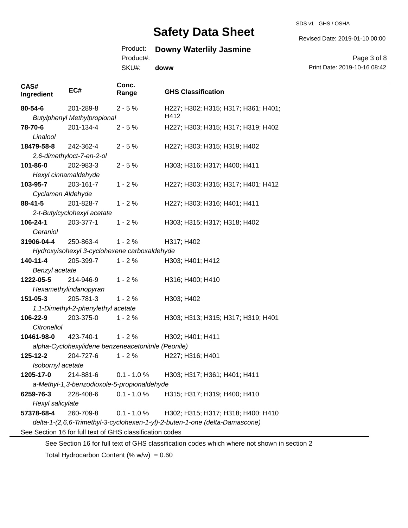#### SDS v1 GHS / OSHA

# **Safety Data Sheet**

## Product: **Downy Waterlily Jasmine**

Product#:

**Conc.** 

SKU#: **doww**

Revised Date: 2019-01-10 00:00

Page 3 of 8 Print Date: 2019-10-16 08:42

| CAS#<br>Ingredient | EC#                                | Conc.<br>Range                                           | <b>GHS Classification</b>                                                   |
|--------------------|------------------------------------|----------------------------------------------------------|-----------------------------------------------------------------------------|
| 80-54-6            | 201-289-8                          | $2 - 5%$                                                 | H227; H302; H315; H317; H361; H401;                                         |
|                    | <b>Butylphenyl Methylpropional</b> |                                                          | H412                                                                        |
| 78-70-6            | 201-134-4                          | $2 - 5%$                                                 | H227; H303; H315; H317; H319; H402                                          |
| Linalool           |                                    |                                                          |                                                                             |
| 18479-58-8         | 242-362-4                          | $2 - 5%$                                                 | H227; H303; H315; H319; H402                                                |
|                    | 2,6-dimethyloct-7-en-2-ol          |                                                          |                                                                             |
| 101-86-0           | 202-983-3                          | $2 - 5%$                                                 | H303; H316; H317; H400; H411                                                |
|                    | Hexyl cinnamaldehyde               |                                                          |                                                                             |
| 103-95-7           | 203-161-7                          | $1 - 2%$                                                 | H227; H303; H315; H317; H401; H412                                          |
| Cyclamen Aldehyde  |                                    |                                                          |                                                                             |
| 88-41-5            | 201-828-7                          | $1 - 2%$                                                 | H227; H303; H316; H401; H411                                                |
|                    | 2-t-Butylcyclohexyl acetate        |                                                          |                                                                             |
| 106-24-1           | 203-377-1                          | $1 - 2%$                                                 | H303; H315; H317; H318; H402                                                |
| Geraniol           |                                    |                                                          |                                                                             |
| 31906-04-4         | 250-863-4                          | $1 - 2%$                                                 | H317; H402                                                                  |
|                    |                                    | Hydroxyisohexyl 3-cyclohexene carboxaldehyde             |                                                                             |
| 140-11-4           | 205-399-7                          | $1 - 2%$                                                 | H303; H401; H412                                                            |
| Benzyl acetate     |                                    |                                                          |                                                                             |
| 1222-05-5          | 214-946-9                          | $1 - 2%$                                                 | H316; H400; H410                                                            |
|                    | Hexamethylindanopyran              |                                                          |                                                                             |
| 151-05-3           | 205-781-3                          | $1 - 2%$                                                 | H303; H402                                                                  |
|                    | 1,1-Dimethyl-2-phenylethyl acetate |                                                          |                                                                             |
| 106-22-9           | 203-375-0                          | $1 - 2%$                                                 | H303; H313; H315; H317; H319; H401                                          |
| Citronellol        |                                    |                                                          |                                                                             |
| 10461-98-0         | 423-740-1                          | $1 - 2%$                                                 | H302; H401; H411                                                            |
|                    |                                    | alpha-Cyclohexylidene benzeneacetonitrile (Peonile)      |                                                                             |
| 125-12-2           | 204-727-6                          | $1 - 2%$                                                 | H227; H316; H401                                                            |
| Isobornyl acetate  |                                    |                                                          |                                                                             |
| 1205-17-0          | 214-881-6                          | $0.1 - 1.0 \%$                                           | H303; H317; H361; H401; H411                                                |
|                    |                                    | a-Methyl-1,3-benzodioxole-5-propionaldehyde              |                                                                             |
| 6259-76-3          | 228-408-6                          | $0.1 - 1.0 %$                                            | H315; H317; H319; H400; H410                                                |
| Hexyl salicylate   |                                    |                                                          |                                                                             |
| 57378-68-4         | 260-709-8                          | $0.1 - 1.0 %$                                            | H302; H315; H317; H318; H400; H410                                          |
|                    |                                    |                                                          | delta-1-(2,6,6-Trimethyl-3-cyclohexen-1-yl)-2-buten-1-one (delta-Damascone) |
|                    |                                    | See Section 16 for full text of GHS classification codes |                                                                             |
|                    |                                    |                                                          |                                                                             |

See Section 16 for full text of GHS classification codes which where not shown in section 2

Total Hydrocarbon Content (%  $w/w$ ) = 0.60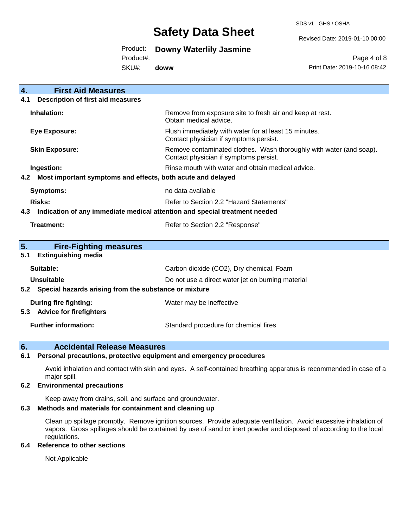SDS v1 GHS / OSHA

Revised Date: 2019-01-10 00:00

#### Product: **Downy Waterlily Jasmine**

Product#:

SKU#: **doww**

Page 4 of 8 Print Date: 2019-10-16 08:42

| 4.<br><b>First Aid Measures</b>                                                   |                                                                                                               |  |
|-----------------------------------------------------------------------------------|---------------------------------------------------------------------------------------------------------------|--|
| <b>Description of first aid measures</b><br>4.1                                   |                                                                                                               |  |
| Inhalation:                                                                       | Remove from exposure site to fresh air and keep at rest.<br>Obtain medical advice.                            |  |
| <b>Eye Exposure:</b>                                                              | Flush immediately with water for at least 15 minutes.<br>Contact physician if symptoms persist.               |  |
| <b>Skin Exposure:</b>                                                             | Remove contaminated clothes. Wash thoroughly with water (and soap).<br>Contact physician if symptoms persist. |  |
| Ingestion:                                                                        | Rinse mouth with water and obtain medical advice.                                                             |  |
| Most important symptoms and effects, both acute and delayed<br>4.2                |                                                                                                               |  |
| <b>Symptoms:</b>                                                                  | no data available                                                                                             |  |
| Risks:                                                                            | Refer to Section 2.2 "Hazard Statements"                                                                      |  |
| Indication of any immediate medical attention and special treatment needed<br>4.3 |                                                                                                               |  |
| <b>Treatment:</b>                                                                 | Refer to Section 2.2 "Response"                                                                               |  |
| 5.<br><b>Fire-Fighting measures</b>                                               |                                                                                                               |  |
| <b>Extinguishing media</b><br>5.1                                                 |                                                                                                               |  |
| Suitable:                                                                         | Carbon dioxide (CO2), Dry chemical, Foam                                                                      |  |
| Unsuitable                                                                        | Do not use a direct water jet on burning material                                                             |  |
| Special hazards arising from the substance or mixture<br>5.2                      |                                                                                                               |  |
| During fire fighting:                                                             | Water may be ineffective                                                                                      |  |
| <b>Advice for firefighters</b><br>5.3                                             |                                                                                                               |  |
| <b>Further information:</b>                                                       | Standard procedure for chemical fires                                                                         |  |

### **6. Accidental Release Measures**

#### **6.1 Personal precautions, protective equipment and emergency procedures**

Avoid inhalation and contact with skin and eyes. A self-contained breathing apparatus is recommended in case of a major spill.

#### **6.2 Environmental precautions**

Keep away from drains, soil, and surface and groundwater.

#### **6.3 Methods and materials for containment and cleaning up**

Clean up spillage promptly. Remove ignition sources. Provide adequate ventilation. Avoid excessive inhalation of vapors. Gross spillages should be contained by use of sand or inert powder and disposed of according to the local regulations.

#### **6.4 Reference to other sections**

Not Applicable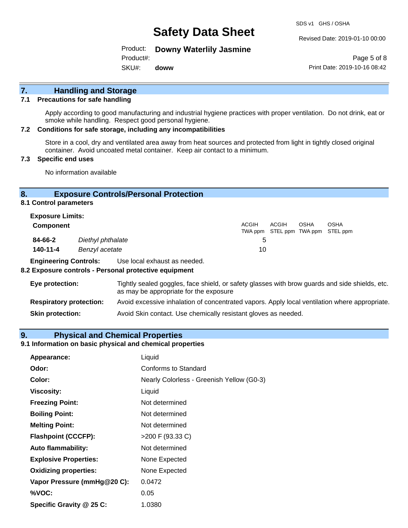SDS v1 GHS / OSHA

Revised Date: 2019-01-10 00:00

Product: **Downy Waterlily Jasmine**

Product#:

SKU#: **doww**

Page 5 of 8 Print Date: 2019-10-16 08:42

## **7. Handling and Storage**

#### **7.1 Precautions for safe handling**

Apply according to good manufacturing and industrial hygiene practices with proper ventilation. Do not drink, eat or smoke while handling. Respect good personal hygiene.

#### **7.2 Conditions for safe storage, including any incompatibilities**

Store in a cool, dry and ventilated area away from heat sources and protected from light in tightly closed original container. Avoid uncoated metal container. Keep air contact to a minimum.

#### **7.3 Specific end uses**

No information available

#### **8. Exposure Controls/Personal Protection**

**8.1 Control parameters**

| <b>Exposure Limits:</b><br><b>Component</b> |                                     | <b>ACGIH</b> | ACGIH | <b>OSHA</b> | <b>OSHA</b><br>TWA ppm STEL ppm TWA ppm STEL ppm |
|---------------------------------------------|-------------------------------------|--------------|-------|-------------|--------------------------------------------------|
| 84-66-2<br>$140 - 11 - 4$                   | Diethyl phthalate<br>Benzyl acetate | G<br>10      |       |             |                                                  |

**Engineering Controls:** Use local exhaust as needed.

#### **8.2 Exposure controls - Personal protective equipment**

| Eye protection:                | Tightly sealed goggles, face shield, or safety glasses with brow guards and side shields, etc.<br>as may be appropriate for the exposure |
|--------------------------------|------------------------------------------------------------------------------------------------------------------------------------------|
| <b>Respiratory protection:</b> | Avoid excessive inhalation of concentrated vapors. Apply local ventilation where appropriate.                                            |
| <b>Skin protection:</b>        | Avoid Skin contact. Use chemically resistant gloves as needed.                                                                           |

#### **9. Physical and Chemical Properties**

#### **9.1 Information on basic physical and chemical properties**

| Appearance:                  | Liquid                                    |
|------------------------------|-------------------------------------------|
| Odor:                        | Conforms to Standard                      |
| Color:                       | Nearly Colorless - Greenish Yellow (G0-3) |
| Viscosity:                   | Liquid                                    |
| <b>Freezing Point:</b>       | Not determined                            |
| <b>Boiling Point:</b>        | Not determined                            |
| <b>Melting Point:</b>        | Not determined                            |
| <b>Flashpoint (CCCFP):</b>   | $>200$ F (93.33 C)                        |
| <b>Auto flammability:</b>    | Not determined                            |
| <b>Explosive Properties:</b> | None Expected                             |
| <b>Oxidizing properties:</b> | None Expected                             |
| Vapor Pressure (mmHg@20 C):  | 0.0472                                    |
| %VOC:                        | 0.05                                      |
| Specific Gravity @ 25 C:     | 1.0380                                    |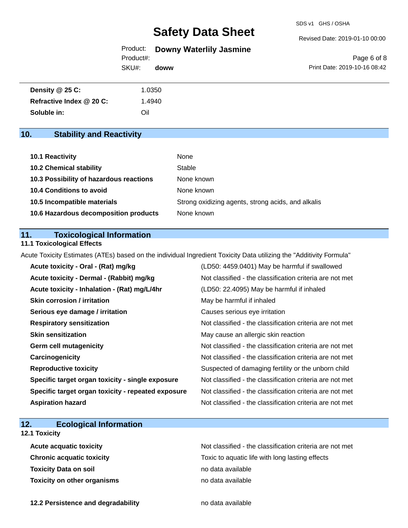SDS v1 GHS / OSHA

Revised Date: 2019-01-10 00:00

### Product: **Downy Waterlily Jasmine**

**doww**

SKU#: Product#:

Page 6 of 8 Print Date: 2019-10-16 08:42

| Density @ 25 C:          | 1.0350 |
|--------------------------|--------|
| Refractive Index @ 20 C: | .4940  |
| Soluble in:              | Oil    |

## **10. Stability and Reactivity**

| <b>10.1 Reactivity</b>                  | None                                               |
|-----------------------------------------|----------------------------------------------------|
| <b>10.2 Chemical stability</b>          | Stable                                             |
| 10.3 Possibility of hazardous reactions | None known                                         |
| <b>10.4 Conditions to avoid</b>         | None known                                         |
| 10.5 Incompatible materials             | Strong oxidizing agents, strong acids, and alkalis |
| 10.6 Hazardous decomposition products   | None known                                         |

#### **11. Toxicological Information**

#### **11.1 Toxicological Effects**

Acute Toxicity Estimates (ATEs) based on the individual Ingredient Toxicity Data utilizing the "Additivity Formula"

| Acute toxicity - Oral - (Rat) mg/kg                | (LD50: 4459.0401) May be harmful if swallowed            |
|----------------------------------------------------|----------------------------------------------------------|
| Acute toxicity - Dermal - (Rabbit) mg/kg           | Not classified - the classification criteria are not met |
| Acute toxicity - Inhalation - (Rat) mg/L/4hr       | (LD50: 22.4095) May be harmful if inhaled                |
| <b>Skin corrosion / irritation</b>                 | May be harmful if inhaled                                |
| Serious eye damage / irritation                    | Causes serious eye irritation                            |
| <b>Respiratory sensitization</b>                   | Not classified - the classification criteria are not met |
| <b>Skin sensitization</b>                          | May cause an allergic skin reaction                      |
| <b>Germ cell mutagenicity</b>                      | Not classified - the classification criteria are not met |
| Carcinogenicity                                    | Not classified - the classification criteria are not met |
| <b>Reproductive toxicity</b>                       | Suspected of damaging fertility or the unborn child      |
| Specific target organ toxicity - single exposure   | Not classified - the classification criteria are not met |
| Specific target organ toxicity - repeated exposure | Not classified - the classification criteria are not met |
| <b>Aspiration hazard</b>                           | Not classified - the classification criteria are not met |

## **12. Ecological Information**

### **12.1 Toxicity**

| <b>Acute acquatic toxicity</b>     | Not classified - the classification criteria are not met |
|------------------------------------|----------------------------------------------------------|
| <b>Chronic acquatic toxicity</b>   | Toxic to aquatic life with long lasting effects          |
| <b>Toxicity Data on soil</b>       | no data available                                        |
| <b>Toxicity on other organisms</b> | no data available                                        |

**12.2 Persistence and degradability no data available**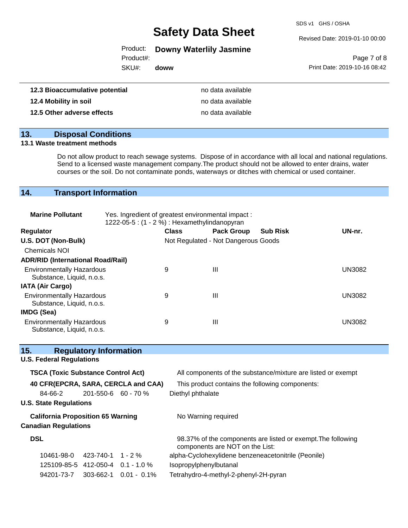SDS v1 GHS / OSHA

Revised Date: 2019-01-10 00:00

|  |  | Product: Downy Waterlily Jasmine |  |
|--|--|----------------------------------|--|
|--|--|----------------------------------|--|

Product#:

SKU#: **doww**

Page 7 of 8 Print Date: 2019-10-16 08:42

| 12.3 Bioaccumulative potential | no data available |
|--------------------------------|-------------------|
| 12.4 Mobility in soil          | no data available |
| 12.5 Other adverse effects     | no data available |

## **13. Disposal Conditions**

#### **13.1 Waste treatment methods**

Do not allow product to reach sewage systems. Dispose of in accordance with all local and national regulations. Send to a licensed waste management company.The product should not be allowed to enter drains, water courses or the soil. Do not contaminate ponds, waterways or ditches with chemical or used container.

## **14. Transport Information**

| <b>Marine Pollutant</b>                                       | Yes. Ingredient of greatest environmental impact:<br>1222-05-5: $(1 - 2\%)$ : Hexamethylindanopyran |              |                                     |                 |               |
|---------------------------------------------------------------|-----------------------------------------------------------------------------------------------------|--------------|-------------------------------------|-----------------|---------------|
| <b>Regulator</b>                                              |                                                                                                     | <b>Class</b> | <b>Pack Group</b>                   | <b>Sub Risk</b> | UN-nr.        |
| U.S. DOT (Non-Bulk)                                           |                                                                                                     |              | Not Regulated - Not Dangerous Goods |                 |               |
| <b>Chemicals NOI</b>                                          |                                                                                                     |              |                                     |                 |               |
| <b>ADR/RID (International Road/Rail)</b>                      |                                                                                                     |              |                                     |                 |               |
| <b>Environmentally Hazardous</b><br>Substance, Liquid, n.o.s. |                                                                                                     | 9            | Ш                                   |                 | <b>UN3082</b> |
| <b>IATA (Air Cargo)</b>                                       |                                                                                                     |              |                                     |                 |               |
| <b>Environmentally Hazardous</b><br>Substance, Liquid, n.o.s. |                                                                                                     | 9            | Ш                                   |                 | <b>UN3082</b> |
| IMDG (Sea)                                                    |                                                                                                     |              |                                     |                 |               |
| <b>Environmentally Hazardous</b><br>Substance, Liquid, n.o.s. |                                                                                                     | 9            | Ш                                   |                 | <b>UN3082</b> |

| 15.        |                                           | <b>Regulatory Information</b> |                                     |                                                                                                 |
|------------|-------------------------------------------|-------------------------------|-------------------------------------|-------------------------------------------------------------------------------------------------|
|            | <b>U.S. Federal Regulations</b>           |                               |                                     |                                                                                                 |
|            | <b>TSCA (Toxic Substance Control Act)</b> |                               |                                     | All components of the substance/mixture are listed or exempt                                    |
|            |                                           |                               | 40 CFR(EPCRA, SARA, CERCLA and CAA) | This product contains the following components:                                                 |
|            | 84-66-2                                   | $201 - 550 - 6$ 60 - 70 %     |                                     | Diethyl phthalate                                                                               |
|            | <b>U.S. State Regulations</b>             |                               |                                     |                                                                                                 |
|            | <b>California Proposition 65 Warning</b>  |                               |                                     | No Warning required                                                                             |
|            | <b>Canadian Regulations</b>               |                               |                                     |                                                                                                 |
| <b>DSL</b> |                                           |                               |                                     | 98.37% of the components are listed or exempt. The following<br>components are NOT on the List: |
|            | 10461-98-0                                | 423-740-1                     | $1 - 2\%$                           | alpha-Cyclohexylidene benzeneacetonitrile (Peonile)                                             |
|            | 125109-85-5 412-050-4 0.1 - 1.0 %         |                               |                                     | Isopropylphenylbutanal                                                                          |
|            | 94201-73-7                                | 303-662-1                     | $0.01 - 0.1\%$                      | Tetrahydro-4-methyl-2-phenyl-2H-pyran                                                           |